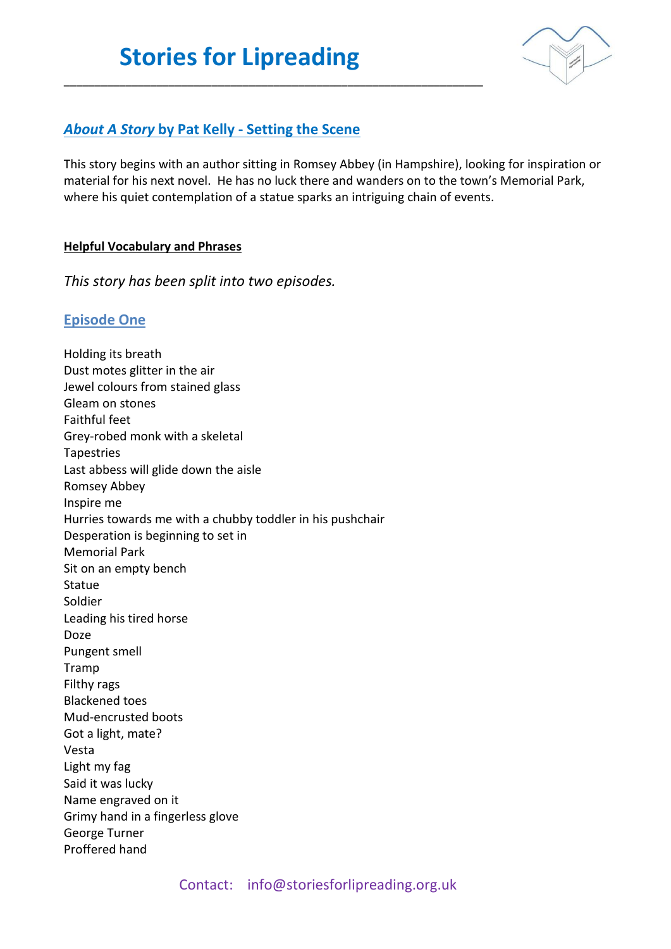\_\_\_\_\_\_\_\_\_\_\_\_\_\_\_\_\_\_\_\_\_\_\_\_\_\_\_\_\_\_\_\_\_\_\_\_\_\_\_\_\_\_\_\_\_\_\_\_\_\_\_\_\_\_\_\_\_\_\_\_\_\_\_\_\_\_\_\_



## *About A Story* **by Pat Kelly - Setting the Scene**

This story begins with an author sitting in Romsey Abbey (in Hampshire), looking for inspiration or material for his next novel. He has no luck there and wanders on to the town's Memorial Park, where his quiet contemplation of a statue sparks an intriguing chain of events.

#### **Helpful Vocabulary and Phrases**

*This story has been split into two episodes.* 

### **Episode One**

Holding its breath Dust motes glitter in the air Jewel colours from stained glass Gleam on stones Faithful feet Grey-robed monk with a skeletal Tapestries Last abbess will glide down the aisle Romsey Abbey Inspire me Hurries towards me with a chubby toddler in his pushchair Desperation is beginning to set in Memorial Park Sit on an empty bench Statue Soldier Leading his tired horse Doze Pungent smell Tramp Filthy rags Blackened toes Mud-encrusted boots Got a light, mate? Vesta Light my fag Said it was lucky Name engraved on it Grimy hand in a fingerless glove George Turner Proffered hand